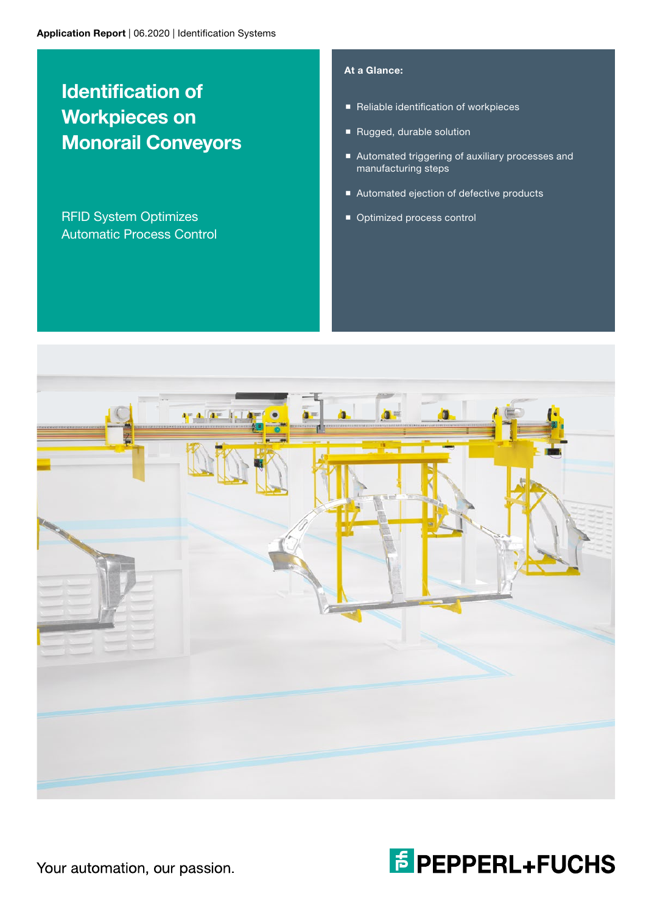# Identification of Workpieces on Monorail Conveyors

RFID System Optimizes Automatic Process Control

## At a Glance:

- Reliable identification of workpieces
- Rugged, durable solution
- Automated triggering of auxiliary processes and manufacturing steps
- Automated ejection of defective products
- **Optimized process control**